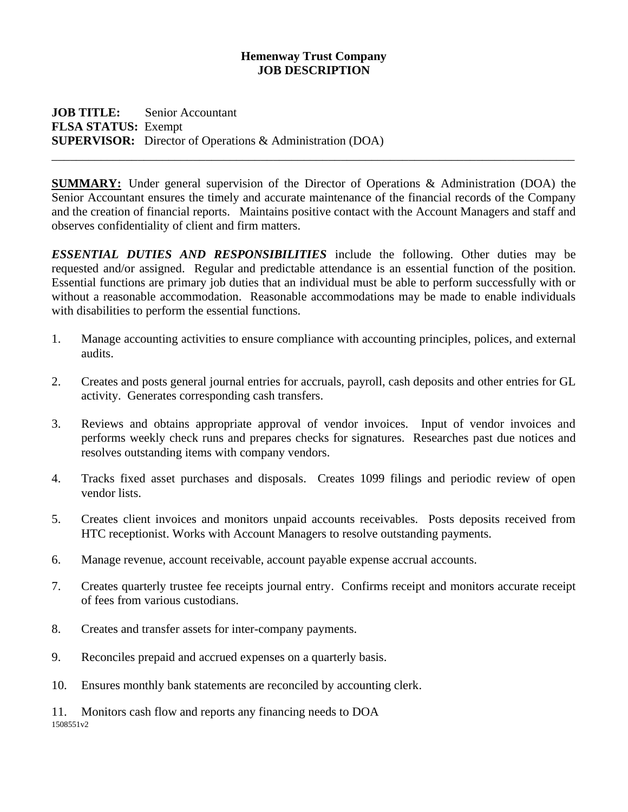## **Hemenway Trust Company JOB DESCRIPTION**

**JOB TITLE:** Senior Accountant **FLSA STATUS:** Exempt **SUPERVISOR:** Director of Operations & Administration (DOA)

**SUMMARY:** Under general supervision of the Director of Operations & Administration (DOA) the Senior Accountant ensures the timely and accurate maintenance of the financial records of the Company and the creation of financial reports. Maintains positive contact with the Account Managers and staff and observes confidentiality of client and firm matters.

\_\_\_\_\_\_\_\_\_\_\_\_\_\_\_\_\_\_\_\_\_\_\_\_\_\_\_\_\_\_\_\_\_\_\_\_\_\_\_\_\_\_\_\_\_\_\_\_\_\_\_\_\_\_\_\_\_\_\_\_\_\_\_\_\_\_\_\_\_\_\_\_\_\_\_\_\_\_\_\_\_\_\_\_\_

*ESSENTIAL DUTIES AND RESPONSIBILITIES* include the following. Other duties may be requested and/or assigned. Regular and predictable attendance is an essential function of the position. Essential functions are primary job duties that an individual must be able to perform successfully with or without a reasonable accommodation. Reasonable accommodations may be made to enable individuals with disabilities to perform the essential functions.

- 1. Manage accounting activities to ensure compliance with accounting principles, polices, and external audits.
- 2. Creates and posts general journal entries for accruals, payroll, cash deposits and other entries for GL activity. Generates corresponding cash transfers.
- 3. Reviews and obtains appropriate approval of vendor invoices. Input of vendor invoices and performs weekly check runs and prepares checks for signatures. Researches past due notices and resolves outstanding items with company vendors.
- 4. Tracks fixed asset purchases and disposals. Creates 1099 filings and periodic review of open vendor lists.
- 5. Creates client invoices and monitors unpaid accounts receivables. Posts deposits received from HTC receptionist. Works with Account Managers to resolve outstanding payments.
- 6. Manage revenue, account receivable, account payable expense accrual accounts.
- 7. Creates quarterly trustee fee receipts journal entry. Confirms receipt and monitors accurate receipt of fees from various custodians.
- 8. Creates and transfer assets for inter-company payments.
- 9. Reconciles prepaid and accrued expenses on a quarterly basis.
- 10. Ensures monthly bank statements are reconciled by accounting clerk.

1508551v2 11. Monitors cash flow and reports any financing needs to DOA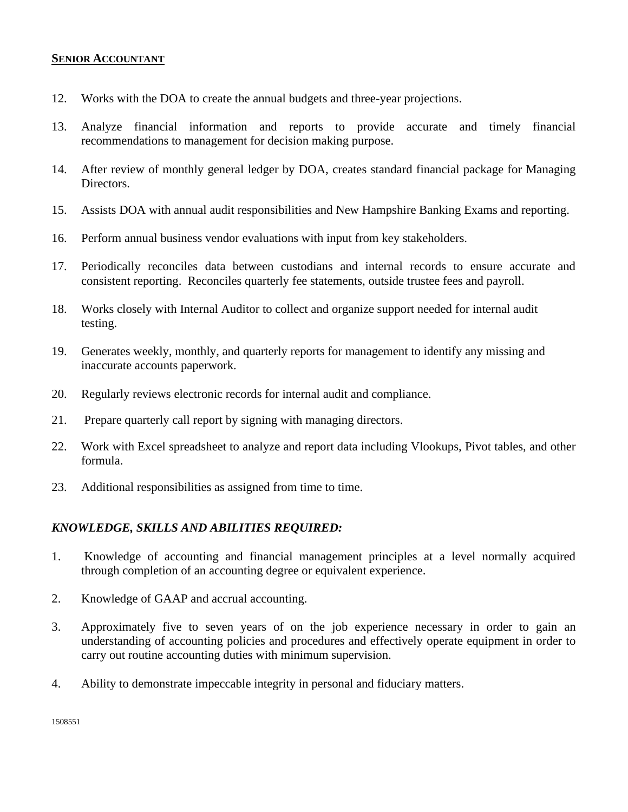## **SENIOR ACCOUNTANT**

- 12. Works with the DOA to create the annual budgets and three-year projections.
- 13. Analyze financial information and reports to provide accurate and timely financial recommendations to management for decision making purpose.
- 14. After review of monthly general ledger by DOA, creates standard financial package for Managing Directors.
- 15. Assists DOA with annual audit responsibilities and New Hampshire Banking Exams and reporting.
- 16. Perform annual business vendor evaluations with input from key stakeholders.
- 17. Periodically reconciles data between custodians and internal records to ensure accurate and consistent reporting. Reconciles quarterly fee statements, outside trustee fees and payroll.
- 18. Works closely with Internal Auditor to collect and organize support needed for internal audit testing.
- 19. Generates weekly, monthly, and quarterly reports for management to identify any missing and inaccurate accounts paperwork.
- 20. Regularly reviews electronic records for internal audit and compliance.
- 21. Prepare quarterly call report by signing with managing directors.
- 22. Work with Excel spreadsheet to analyze and report data including Vlookups, Pivot tables, and other formula.
- 23. Additional responsibilities as assigned from time to time.

## *KNOWLEDGE, SKILLS AND ABILITIES REQUIRED:*

- 1. Knowledge of accounting and financial management principles at a level normally acquired through completion of an accounting degree or equivalent experience.
- 2. Knowledge of GAAP and accrual accounting.
- 3. Approximately five to seven years of on the job experience necessary in order to gain an understanding of accounting policies and procedures and effectively operate equipment in order to carry out routine accounting duties with minimum supervision.
- 4. Ability to demonstrate impeccable integrity in personal and fiduciary matters.

1508551